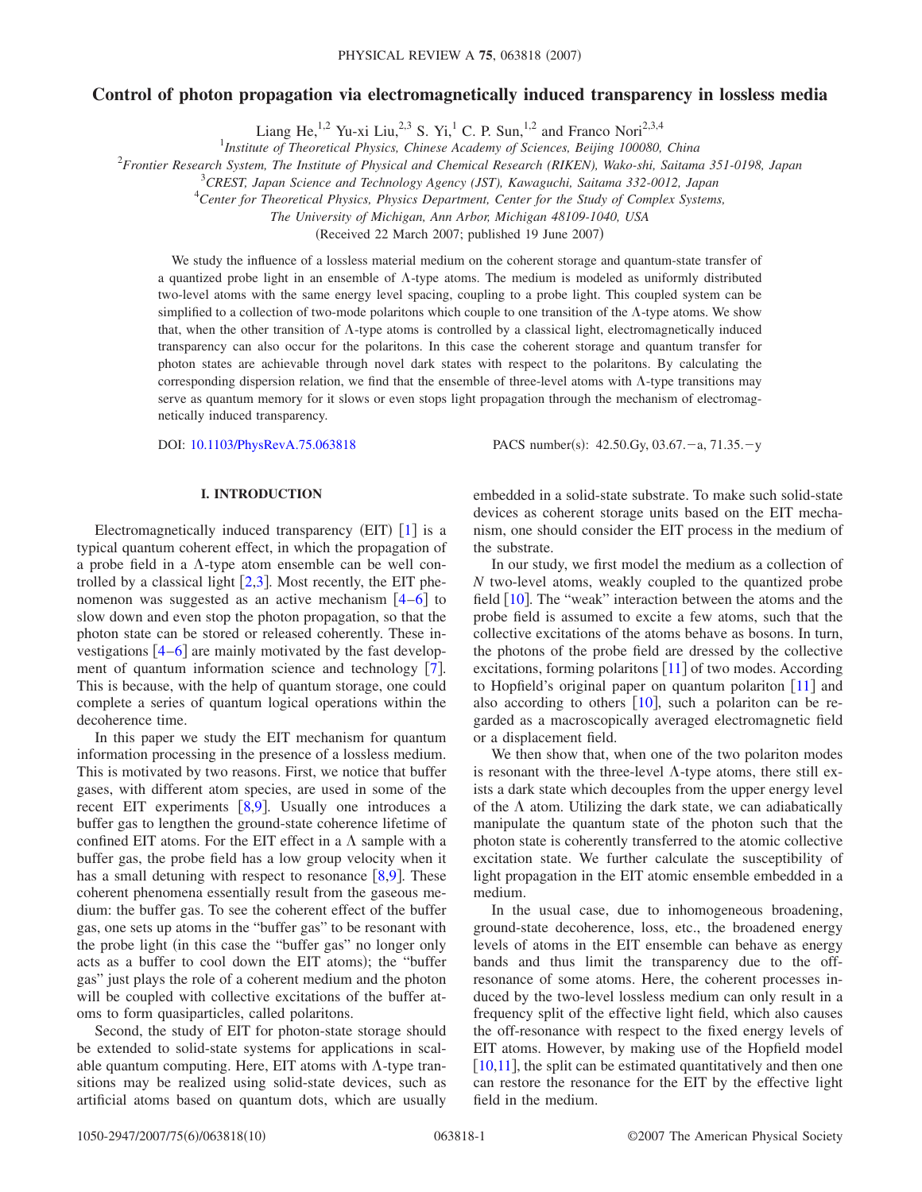# **Control of photon propagation via electromagnetically induced transparency in lossless media**

Liang He,<sup>1,2</sup> Yu-xi Liu,<sup>2,3</sup> S. Yi,<sup>1</sup> C. P. Sun,<sup>1,2</sup> and Franco Nori<sup>2,3,4</sup>

1 *Institute of Theoretical Physics, Chinese Academy of Sciences, Beijing 100080, China*

2 *Frontier Research System, The Institute of Physical and Chemical Research (RIKEN), Wako-shi, Saitama 351-0198, Japan*

3 *CREST, Japan Science and Technology Agency (JST), Kawaguchi, Saitama 332-0012, Japan*

4 *Center for Theoretical Physics, Physics Department, Center for the Study of Complex Systems,*

*The University of Michigan, Ann Arbor, Michigan 48109-1040, USA*

(Received 22 March 2007; published 19 June 2007)

We study the influence of a lossless material medium on the coherent storage and quantum-state transfer of a quantized probe light in an ensemble of  $\Lambda$ -type atoms. The medium is modeled as uniformly distributed two-level atoms with the same energy level spacing, coupling to a probe light. This coupled system can be simplified to a collection of two-mode polaritons which couple to one transition of the  $\Lambda$ -type atoms. We show that, when the other transition of  $\Lambda$ -type atoms is controlled by a classical light, electromagnetically induced transparency can also occur for the polaritons. In this case the coherent storage and quantum transfer for photon states are achievable through novel dark states with respect to the polaritons. By calculating the corresponding dispersion relation, we find that the ensemble of three-level atoms with  $\Lambda$ -type transitions may serve as quantum memory for it slows or even stops light propagation through the mechanism of electromagnetically induced transparency.

DOI: [10.1103/PhysRevA.75.063818](http://dx.doi.org/10.1103/PhysRevA.75.063818)

:  $42.50 \text{Gy}, 03.67 - a, 71.35 - y$ 

## **I. INTRODUCTION**

Electromagnetically induced transparency (EIT) [[1](#page-8-0)] is a typical quantum coherent effect, in which the propagation of a probe field in a  $\Lambda$ -type atom ensemble can be well controlled by a classical light  $[2,3]$  $[2,3]$  $[2,3]$  $[2,3]$ . Most recently, the EIT phenomenon was suggested as an active mechanism  $\lceil 4-6 \rceil$  $\lceil 4-6 \rceil$  $\lceil 4-6 \rceil$  to slow down and even stop the photon propagation, so that the photon state can be stored or released coherently. These investigations  $\left[4-6\right]$  $\left[4-6\right]$  $\left[4-6\right]$  are mainly motivated by the fast development of quantum information science and technology  $[7]$  $[7]$  $[7]$ . This is because, with the help of quantum storage, one could complete a series of quantum logical operations within the decoherence time.

In this paper we study the EIT mechanism for quantum information processing in the presence of a lossless medium. This is motivated by two reasons. First, we notice that buffer gases, with different atom species, are used in some of the recent EIT experiments  $\lceil 8.9 \rceil$  $\lceil 8.9 \rceil$  $\lceil 8.9 \rceil$ . Usually one introduces a buffer gas to lengthen the ground-state coherence lifetime of confined EIT atoms. For the EIT effect in a  $\Lambda$  sample with a buffer gas, the probe field has a low group velocity when it has a small detuning with respect to resonance  $[8,9]$  $[8,9]$  $[8,9]$  $[8,9]$ . These coherent phenomena essentially result from the gaseous medium: the buffer gas. To see the coherent effect of the buffer gas, one sets up atoms in the "buffer gas" to be resonant with the probe light (in this case the "buffer gas" no longer only acts as a buffer to cool down the EIT atoms); the "buffer gas" just plays the role of a coherent medium and the photon will be coupled with collective excitations of the buffer atoms to form quasiparticles, called polaritons.

Second, the study of EIT for photon-state storage should be extended to solid-state systems for applications in scalable quantum computing. Here, EIT atoms with  $\Lambda$ -type transitions may be realized using solid-state devices, such as artificial atoms based on quantum dots, which are usually embedded in a solid-state substrate. To make such solid-state devices as coherent storage units based on the EIT mechanism, one should consider the EIT process in the medium of the substrate.

In our study, we first model the medium as a collection of *N* two-level atoms, weakly coupled to the quantized probe field  $\lceil 10 \rceil$  $\lceil 10 \rceil$  $\lceil 10 \rceil$ . The "weak" interaction between the atoms and the probe field is assumed to excite a few atoms, such that the collective excitations of the atoms behave as bosons. In turn, the photons of the probe field are dressed by the collective excitations, forming polaritons  $[11]$  $[11]$  $[11]$  of two modes. According to Hopfield's original paper on quantum polariton  $[11]$  $[11]$  $[11]$  and also according to others  $[10]$  $[10]$  $[10]$ , such a polariton can be regarded as a macroscopically averaged electromagnetic field or a displacement field.

We then show that, when one of the two polariton modes is resonant with the three-level  $\Lambda$ -type atoms, there still exists a dark state which decouples from the upper energy level of the  $\Lambda$  atom. Utilizing the dark state, we can adiabatically manipulate the quantum state of the photon such that the photon state is coherently transferred to the atomic collective excitation state. We further calculate the susceptibility of light propagation in the EIT atomic ensemble embedded in a medium.

In the usual case, due to inhomogeneous broadening, ground-state decoherence, loss, etc., the broadened energy levels of atoms in the EIT ensemble can behave as energy bands and thus limit the transparency due to the offresonance of some atoms. Here, the coherent processes induced by the two-level lossless medium can only result in a frequency split of the effective light field, which also causes the off-resonance with respect to the fixed energy levels of EIT atoms. However, by making use of the Hopfield model  $[10,11]$  $[10,11]$  $[10,11]$  $[10,11]$ , the split can be estimated quantitatively and then one can restore the resonance for the EIT by the effective light field in the medium.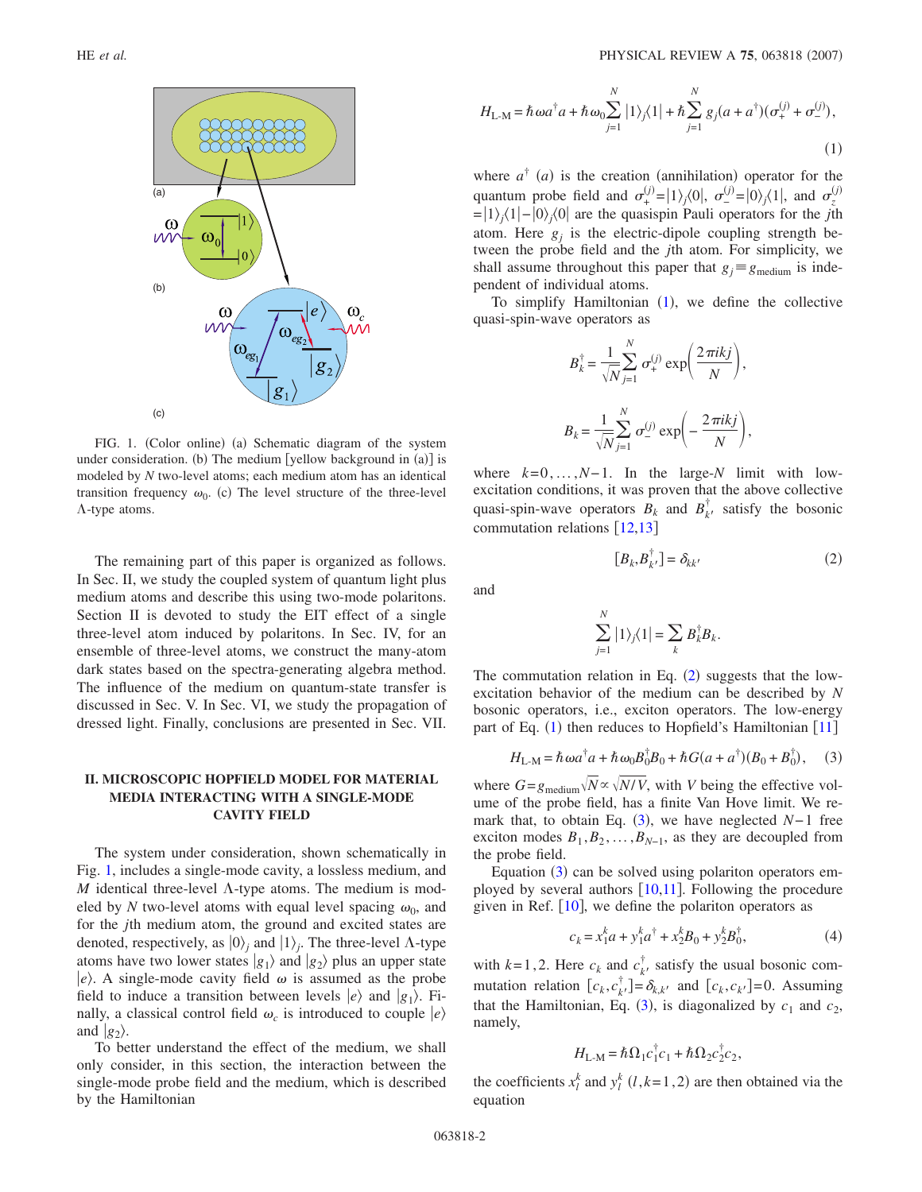<span id="page-1-0"></span>

FIG. 1. (Color online) (a) Schematic diagram of the system under consideration. (b) The medium [yellow background in (a)] is modeled by *N* two-level atoms; each medium atom has an identical transition frequency  $\omega_0$ . (c) The level structure of the three-level  $\Lambda$ -type atoms.

The remaining part of this paper is organized as follows. In Sec. II, we study the coupled system of quantum light plus medium atoms and describe this using two-mode polaritons. Section II is devoted to study the EIT effect of a single three-level atom induced by polaritons. In Sec. IV, for an ensemble of three-level atoms, we construct the many-atom dark states based on the spectra-generating algebra method. The influence of the medium on quantum-state transfer is discussed in Sec. V. In Sec. VI, we study the propagation of dressed light. Finally, conclusions are presented in Sec. VII.

## **II. MICROSCOPIC HOPFIELD MODEL FOR MATERIAL MEDIA INTERACTING WITH A SINGLE-MODE CAVITY FIELD**

The system under consideration, shown schematically in Fig. [1,](#page-1-0) includes a single-mode cavity, a lossless medium, and *M* identical three-level  $\Lambda$ -type atoms. The medium is modeled by *N* two-level atoms with equal level spacing  $\omega_0$ , and for the *j*th medium atom, the ground and excited states are denoted, respectively, as  $|0\rangle$ <sub>*i*</sub> and  $|1\rangle$ <sub>*j*</sub>. The three-level  $\Lambda$ -type atoms have two lower states  $|g_1\rangle$  and  $|g_2\rangle$  plus an upper state  $|e\rangle$ . A single-mode cavity field  $\omega$  is assumed as the probe field to induce a transition between levels  $|e\rangle$  and  $|g_1\rangle$ . Finally, a classical control field  $\omega_c$  is introduced to couple  $|e\rangle$ and  $|g_2\rangle$ .

To better understand the effect of the medium, we shall only consider, in this section, the interaction between the single-mode probe field and the medium, which is described by the Hamiltonian

<span id="page-1-1"></span>
$$
H_{\text{L-M}} = \hbar \omega a^{\dagger} a + \hbar \omega_0 \sum_{j=1}^{N} |1\rangle_j \langle 1| + \hbar \sum_{j=1}^{N} g_j (a + a^{\dagger}) (\sigma_+^{(j)} + \sigma_-^{(j)}),
$$
\n(1)

where  $a^{\dagger}$  (*a*) is the creation (annihilation) operator for the quantum probe field and  $\sigma_{+}^{(j)} = |1\rangle_{j}\langle 0|, \sigma_{-}^{(j)} = |0\rangle_{j}\langle 1|,$  and  $\sigma_{z}^{(j)}$ =1*j*1−0*j*0 are the quasispin Pauli operators for the *j*th atom. Here  $g_i$  is the electric-dipole coupling strength between the probe field and the *j*th atom. For simplicity, we shall assume throughout this paper that  $g_i \equiv g_{\text{medium}}$  is independent of individual atoms.

To simplify Hamiltonian  $(1)$  $(1)$  $(1)$ , we define the collective quasi-spin-wave operators as

$$
B_k^{\dagger} = \frac{1}{\sqrt{N}} \sum_{j=1}^N \sigma_+^{(j)} \exp\left(\frac{2\pi i k j}{N}\right),
$$
  

$$
B_k = \frac{1}{\sqrt{N}} \sum_{j=1}^N \sigma_-^{(j)} \exp\left(-\frac{2\pi i k j}{N}\right),
$$

where  $k=0,\ldots,N-1$ . In the large-*N* limit with lowexcitation conditions, it was proven that the above collective quasi-spin-wave operators  $B_k$  and  $B_{k'}^{\dagger}$  satisfy the bosonic commutation relations  $[12,13]$  $[12,13]$  $[12,13]$  $[12,13]$ 

$$
[B_k, B_{k'}^\dagger] = \delta_{kk'} \tag{2}
$$

<span id="page-1-2"></span>and

$$
\sum_{j=1}^N |1\rangle_j\langle 1| = \sum_k B_k^{\dagger} B_k.
$$

The commutation relation in Eq.  $(2)$  $(2)$  $(2)$  suggests that the lowexcitation behavior of the medium can be described by *N* bosonic operators, i.e., exciton operators. The low-energy part of Eq. ([1](#page-1-1)) then reduces to Hopfield's Hamiltonian [[11](#page-9-3)]

$$
H_{\text{L-M}} = \hbar \omega a^{\dagger} a + \hbar \omega_0 B_0^{\dagger} B_0 + \hbar G (a + a^{\dagger}) (B_0 + B_0^{\dagger}), \quad (3)
$$

<span id="page-1-3"></span>where  $G = g_{\text{medium}} \sqrt{N} \propto \sqrt{N/V}$ , with *V* being the effective volume of the probe field, has a finite Van Hove limit. We re-mark that, to obtain Eq. ([3](#page-1-3)), we have neglected *N*−1 free exciton modes  $B_1, B_2, \ldots, B_{N-1}$ , as they are decoupled from the probe field.

Equation ([3](#page-1-3)) can be solved using polariton operators employed by several authors  $[10,11]$  $[10,11]$  $[10,11]$  $[10,11]$ . Following the procedure given in Ref.  $[10]$  $[10]$  $[10]$ , we define the polariton operators as

$$
c_k = x_1^k a + y_1^k a^\dagger + x_2^k B_0 + y_2^k B_0^\dagger,\tag{4}
$$

with  $k=1,2$ . Here  $c_k$  and  $c_{k'}^{\dagger}$  satisfy the usual bosonic commutation relation  $[c_k, c_{k'}^\dagger] = \delta_{k,k'}$  and  $[c_k, c_{k'}] = 0$ . Assuming that the Hamiltonian, Eq. ([3](#page-1-3)), is diagonalized by  $c_1$  and  $c_2$ , namely,

$$
H_{\text{L-M}} = \hbar \Omega_1 c_1^{\dagger} c_1 + \hbar \Omega_2 c_2^{\dagger} c_2,
$$

the coefficients  $x_l^k$  and  $y_l^k$  (*l*,*k*=1,2) are then obtained via the equation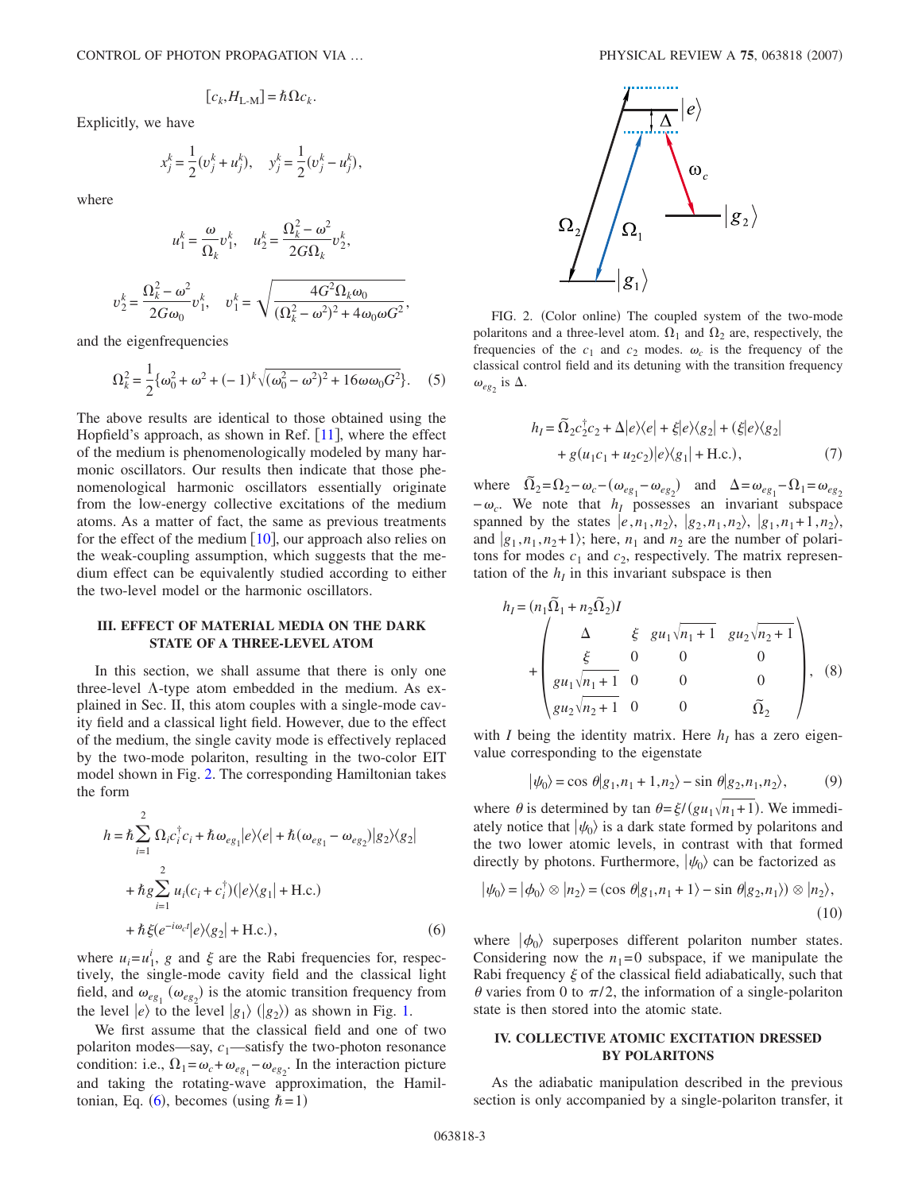$$
[c_k, H_{\text{L-M}}] = \hbar \Omega c_k.
$$

Explicitly, we have

$$
x_j^k = \frac{1}{2}(v_j^k + u_j^k), \quad y_j^k = \frac{1}{2}(v_j^k - u_j^k),
$$

where

$$
u_1^k = \frac{\omega}{\Omega_k} v_1^k, \quad u_2^k = \frac{\Omega_k^2 - \omega^2}{2G\Omega_k} v_2^k,
$$

$$
v_2^k = \frac{\Omega_k^2 - \omega^2}{2G\omega_0} v_1^k, \quad v_1^k = \sqrt{\frac{4G^2\Omega_k\omega_0}{(\Omega_k^2 - \omega^2)^2 + 4\omega_0\omega G^2}},
$$

and the eigenfrequencies

$$
\Omega_k^2 = \frac{1}{2} \{ \omega_0^2 + \omega^2 + (-1)^k \sqrt{(\omega_0^2 - \omega^2)^2 + 16 \omega \omega_0 G^2} \}.
$$
 (5)

The above results are identical to those obtained using the Hopfield's approach, as shown in Ref.  $[11]$  $[11]$  $[11]$ , where the effect of the medium is phenomenologically modeled by many harmonic oscillators. Our results then indicate that those phenomenological harmonic oscillators essentially originate from the low-energy collective excitations of the medium atoms. As a matter of fact, the same as previous treatments for the effect of the medium  $[10]$  $[10]$  $[10]$ , our approach also relies on the weak-coupling assumption, which suggests that the medium effect can be equivalently studied according to either the two-level model or the harmonic oscillators.

#### **III. EFFECT OF MATERIAL MEDIA ON THE DARK STATE OF A THREE-LEVEL ATOM**

In this section, we shall assume that there is only one three-level  $\Lambda$ -type atom embedded in the medium. As explained in Sec. II, this atom couples with a single-mode cavity field and a classical light field. However, due to the effect of the medium, the single cavity mode is effectively replaced by the two-mode polariton, resulting in the two-color EIT model shown in Fig. [2.](#page-2-0) The corresponding Hamiltonian takes the form

<span id="page-2-1"></span>
$$
h = \hbar \sum_{i=1}^{2} \Omega_i c_i^{\dagger} c_i + \hbar \omega_{eg_1} |e\rangle\langle e| + \hbar (\omega_{eg_1} - \omega_{eg_2}) |g_2\rangle\langle g_2|
$$
  
+ 
$$
\hbar g \sum_{i=1}^{2} u_i (c_i + c_i^{\dagger}) (|e\rangle\langle g_1| + \text{H.c.})
$$
  
+ 
$$
\hbar \xi (e^{-i\omega_c t} |e\rangle\langle g_2| + \text{H.c.}), \qquad (6)
$$

where  $u_i = u_1^i$ , *g* and  $\xi$  are the Rabi frequencies for, respectively, the single-mode cavity field and the classical light field, and  $\omega_{eg_1}(\omega_{eg_2})$  is the atomic transition frequency from the level  $|e\rangle$  to the level  $|g_1\rangle$  ( $|g_2\rangle$ ) as shown in Fig. [1.](#page-1-0)

We first assume that the classical field and one of two polariton modes—say,  $c_1$ —satisfy the two-photon resonance condition: i.e.,  $\Omega_1 = \omega_c + \omega_{eg_1} - \omega_{eg_2}$ . In the interaction picture and taking the rotating-wave approximation, the Hamil-tonian, Eq. ([6](#page-2-1)), becomes (using  $\hbar = 1$ )

<span id="page-2-0"></span>

FIG. 2. (Color online) The coupled system of the two-mode polaritons and a three-level atom.  $\Omega_1$  and  $\Omega_2$  are, respectively, the frequencies of the  $c_1$  and  $c_2$  modes.  $\omega_c$  is the frequency of the classical control field and its detuning with the transition frequency  $\omega_{eg_2}$  is  $\Delta$ .

$$
h_I = \widetilde{\Omega}_2 c_2^{\dagger} c_2 + \Delta |e\rangle\langle e| + \xi |e\rangle\langle g_2| + (\xi |e\rangle\langle g_2| + g(u_1 c_1 + u_2 c_2)|e\rangle\langle g_1| + \text{H.c.}),
$$
\n(7)

where  $\tilde{\Omega}_2 = \Omega_2 - \omega_c - (\omega_{eg_1} - \omega_{eg_2})$  and  $\Delta = \omega_{eg_1} - \Omega_1 = \omega_{eg_2}$  $-\omega_c$ . We note that *h<sub>I</sub>* possesses an invariant subspace spanned by the states  $|e, n_1, n_2\rangle$ ,  $|g_2, n_1, n_2\rangle$ ,  $|g_1, n_1+1, n_2\rangle$ , and  $|g_1, n_1, n_2+1\rangle$ ; here,  $n_1$  and  $n_2$  are the number of polaritons for modes  $c_1$  and  $c_2$ , respectively. The matrix representation of the  $h_I$  in this invariant subspace is then

$$
h_{I} = (n_{1}\tilde{\Omega}_{1} + n_{2}\tilde{\Omega}_{2})I
$$
  
+ 
$$
\begin{pmatrix} \Delta & \xi & gu_{1}\sqrt{n_{1}+1} & gu_{2}\sqrt{n_{2}+1} \\ \xi & 0 & 0 & 0 \\ gu_{1}\sqrt{n_{1}+1} & 0 & 0 & 0 \\ gu_{2}\sqrt{n_{2}+1} & 0 & 0 & \tilde{\Omega}_{2} \end{pmatrix}, (8)
$$

with *I* being the identity matrix. Here  $h_I$  has a zero eigenvalue corresponding to the eigenstate

$$
|\psi_0\rangle = \cos \theta |g_1, n_1 + 1, n_2\rangle - \sin \theta |g_2, n_1, n_2\rangle, \tag{9}
$$

where  $\theta$  is determined by tan  $\theta = \xi/(gu_1\sqrt{n_1+1})$ . We immediately notice that  $|\psi_0\rangle$  is a dark state formed by polaritons and the two lower atomic levels, in contrast with that formed directly by photons. Furthermore,  $|\psi_0\rangle$  can be factorized as

$$
|\psi_0\rangle = |\phi_0\rangle \otimes |n_2\rangle = (\cos \theta |g_1, n_1 + 1\rangle - \sin \theta |g_2, n_1\rangle) \otimes |n_2\rangle,
$$
\n(10)

where  $|\phi_0\rangle$  superposes different polariton number states. Considering now the  $n_1=0$  subspace, if we manipulate the Rabi frequency  $\xi$  of the classical field adiabatically, such that  $\theta$  varies from 0 to  $\pi/2$ , the information of a single-polariton state is then stored into the atomic state.

### **IV. COLLECTIVE ATOMIC EXCITATION DRESSED BY POLARITONS**

As the adiabatic manipulation described in the previous section is only accompanied by a single-polariton transfer, it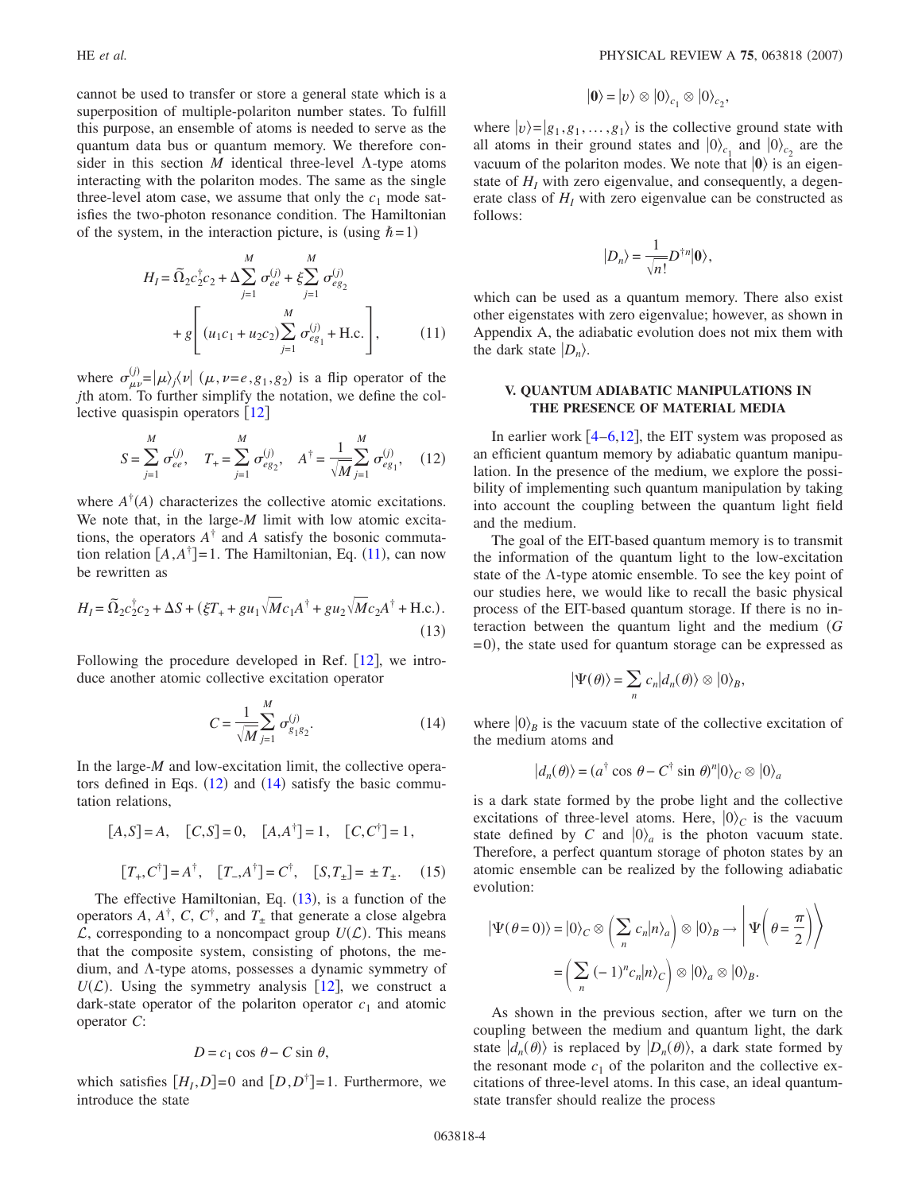cannot be used to transfer or store a general state which is a superposition of multiple-polariton number states. To fulfill this purpose, an ensemble of atoms is needed to serve as the quantum data bus or quantum memory. We therefore consider in this section  $M$  identical three-level  $\Lambda$ -type atoms interacting with the polariton modes. The same as the single three-level atom case, we assume that only the  $c_1$  mode satisfies the two-photon resonance condition. The Hamiltonian of the system, in the interaction picture, is (using  $\hbar = 1$ )

<span id="page-3-0"></span>
$$
H_{I} = \tilde{\Omega}_{2} c_{2}^{\dagger} c_{2} + \Delta \sum_{j=1}^{M} \sigma_{ee}^{(j)} + \xi \sum_{j=1}^{M} \sigma_{eg_{2}}^{(j)}
$$

$$
+ g \left[ (u_{1}c_{1} + u_{2}c_{2}) \sum_{j=1}^{M} \sigma_{eg_{1}}^{(j)} + \text{H.c.} \right], \qquad (11)
$$

where  $\sigma_{\mu\nu}^{(j)} = |\mu\rangle_j \langle \nu| \ (\mu, \nu = e, g_1, g_2)$  is a flip operator of the *j*th atom. To further simplify the notation, we define the collective quasispin operators  $\lceil 12 \rceil$  $\lceil 12 \rceil$  $\lceil 12 \rceil$ 

<span id="page-3-1"></span>
$$
S = \sum_{j=1}^{M} \sigma_{ee}^{(j)}, \quad T_{+} = \sum_{j=1}^{M} \sigma_{eg_{2}}^{(j)}, \quad A^{\dagger} = \frac{1}{\sqrt{M}} \sum_{j=1}^{M} \sigma_{eg_{1}}^{(j)}, \quad (12)
$$

where  $A^{\dagger}(A)$  characterizes the collective atomic excitations. We note that, in the large-*M* limit with low atomic excitations, the operators  $A^{\dagger}$  and *A* satisfy the bosonic commutation relation  $[A, A^{\dagger}] = 1$ . The Hamiltonian, Eq. ([11](#page-3-0)), can now be rewritten as

<span id="page-3-3"></span>
$$
H_{I} = \tilde{\Omega}_{2} c_{2}^{\dagger} c_{2} + \Delta S + (\xi T_{+} + g u_{1}) \overline{M} c_{1} A^{\dagger} + g u_{2} \sqrt{M} c_{2} A^{\dagger} + \text{H.c.}).
$$
\n(13)

<span id="page-3-2"></span>Following the procedure developed in Ref.  $[12]$  $[12]$  $[12]$ , we introduce another atomic collective excitation operator

$$
C = \frac{1}{\sqrt{M}} \sum_{j=1}^{M} \sigma_{g_1 g_2}^{(j)}.
$$
 (14)

In the large-*M* and low-excitation limit, the collective operators defined in Eqs.  $(12)$  $(12)$  $(12)$  and  $(14)$  $(14)$  $(14)$  satisfy the basic commutation relations,

<span id="page-3-4"></span>
$$
[A, S] = A, \quad [C, S] = 0, \quad [A, A^{\dagger}] = 1, \quad [C, C^{\dagger}] = 1,
$$

$$
[T_+, C^{\dagger}] = A^{\dagger}, \quad [T_-, A^{\dagger}] = C^{\dagger}, \quad [S, T_{\pm}] = \pm T_{\pm}. \quad (15)
$$

The effective Hamiltonian, Eq.  $(13)$  $(13)$  $(13)$ , is a function of the operators *A*,  $A^{\dagger}$ , *C*,  $C^{\dagger}$ , and  $T_{\pm}$  that generate a close algebra  $\mathcal{L}$ , corresponding to a noncompact group  $U(\mathcal{L})$ . This means that the composite system, consisting of photons, the medium, and  $\Lambda$ -type atoms, possesses a dynamic symmetry of  $U(\mathcal{L})$ . Using the symmetry analysis [[12](#page-9-4)], we construct a dark-state operator of the polariton operator  $c_1$  and atomic operator *C*:

$$
D = c_1 \cos \theta - C \sin \theta,
$$

which satisfies  $[H_I, D] = 0$  and  $[D, D^{\dagger}] = 1$ . Furthermore, we introduce the state

$$
|\mathbf{0}\rangle = |v\rangle \otimes |0\rangle_{c_1} \otimes |0\rangle_{c_2},
$$

where  $|v\rangle = |g_1, g_1, \dots, g_1\rangle$  is the collective ground state with all atoms in their ground states and  $|0\rangle_{c_1}$  and  $|0\rangle_{c_2}$  are the vacuum of the polariton modes. We note that  $|0\rangle$  is an eigenstate of  $H<sub>I</sub>$  with zero eigenvalue, and consequently, a degenerate class of  $H_I$  with zero eigenvalue can be constructed as follows:

$$
|D_n\rangle = \frac{1}{\sqrt{n!}} D^{\dagger n} |0\rangle,
$$

which can be used as a quantum memory. There also exist other eigenstates with zero eigenvalue; however, as shown in Appendix A, the adiabatic evolution does not mix them with the dark state  $|D_n\rangle$ .

### **V. QUANTUM ADIABATIC MANIPULATIONS IN THE PRESENCE OF MATERIAL MEDIA**

In earlier work  $[4-6,12]$  $[4-6,12]$  $[4-6,12]$  $[4-6,12]$ , the EIT system was proposed as an efficient quantum memory by adiabatic quantum manipulation. In the presence of the medium, we explore the possibility of implementing such quantum manipulation by taking into account the coupling between the quantum light field and the medium.

The goal of the EIT-based quantum memory is to transmit the information of the quantum light to the low-excitation state of the  $\Lambda$ -type atomic ensemble. To see the key point of our studies here, we would like to recall the basic physical process of the EIT-based quantum storage. If there is no interaction between the quantum light and the medium *G* = 0), the state used for quantum storage can be expressed as

$$
|\Psi(\theta)\rangle = \sum_{n} c_n |d_n(\theta)\rangle \otimes |0\rangle_B,
$$

where  $|0\rangle_B$  is the vacuum state of the collective excitation of the medium atoms and

$$
|d_n(\theta)\rangle = (a^{\dagger} \cos \theta - C^{\dagger} \sin \theta)^n |0\rangle_C \otimes |0\rangle_a
$$

is a dark state formed by the probe light and the collective excitations of three-level atoms. Here,  $|0\rangle_c$  is the vacuum state defined by *C* and  $|0\rangle_a$  is the photon vacuum state. Therefore, a perfect quantum storage of photon states by an atomic ensemble can be realized by the following adiabatic evolution:

$$
|\Psi(\theta=0)\rangle = |0\rangle_C \otimes \left(\sum_n c_n |n\rangle_a\right) \otimes |0\rangle_B \to \left|\Psi\left(\theta = \frac{\pi}{2}\right)\right\rangle
$$

$$
= \left(\sum_n (-1)^n c_n |n\rangle_C\right) \otimes |0\rangle_a \otimes |0\rangle_B.
$$

As shown in the previous section, after we turn on the coupling between the medium and quantum light, the dark state  $|d_n(\theta)\rangle$  is replaced by  $|D_n(\theta)\rangle$ , a dark state formed by the resonant mode  $c_1$  of the polariton and the collective excitations of three-level atoms. In this case, an ideal quantumstate transfer should realize the process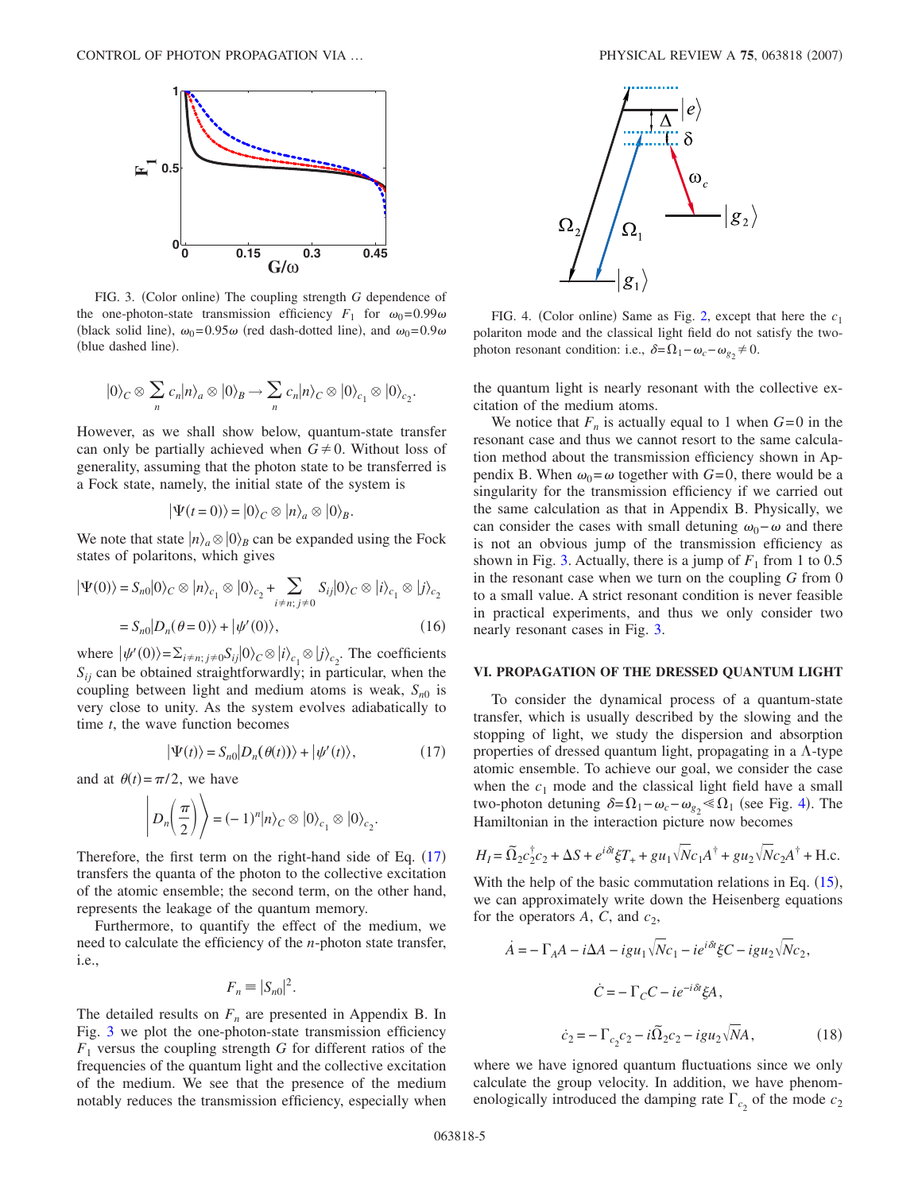<span id="page-4-1"></span>

FIG. 3. (Color online) The coupling strength *G* dependence of the one-photon-state transmission efficiency  $F_1$  for  $\omega_0 = 0.99\omega$ (black solid line),  $\omega_0 = 0.95\omega$  (red dash-dotted line), and  $\omega_0 = 0.9\omega$ (blue dashed line).

$$
|0\rangle_C \otimes \sum_n c_n |n\rangle_a \otimes |0\rangle_B \to \sum_n c_n |n\rangle_C \otimes |0\rangle_{c_1} \otimes |0\rangle_{c_2}.
$$

However, as we shall show below, quantum-state transfer can only be partially achieved when  $G \neq 0$ . Without loss of generality, assuming that the photon state to be transferred is a Fock state, namely, the initial state of the system is

$$
|\Psi(t=0)\rangle = |0\rangle_C \otimes |n\rangle_a \otimes |0\rangle_B.
$$

We note that state  $|n\rangle_a \otimes |0\rangle_B$  can be expanded using the Fock states of polaritons, which gives

$$
|\Psi(0)\rangle = S_{n0}|0\rangle_C \otimes |n\rangle_{c_1} \otimes |0\rangle_{c_2} + \sum_{i \neq n; j \neq 0} S_{ij}|0\rangle_C \otimes |i\rangle_{c_1} \otimes |j\rangle_{c_2}
$$

$$
= S_{n0}|D_n(\theta = 0)\rangle + |\psi'(0)\rangle, \qquad (16)
$$

where  $|\psi'(0)\rangle = \sum_{i \neq n; j \neq 0} S_{ij} |0\rangle_C \otimes |i\rangle_{c_1} \otimes |j\rangle_{c_2}$ . The coefficients  $S_{ii}$  can be obtained straightforwardly; in particular, when the coupling between light and medium atoms is weak,  $S_{n0}$  is very close to unity. As the system evolves adiabatically to time *t*, the wave function becomes

$$
|\Psi(t)\rangle = S_{n0}|D_n(\theta(t))\rangle + |\psi'(t)\rangle, \qquad (17)
$$

<span id="page-4-0"></span>and at  $\theta(t) = \pi/2$ , we have

$$
\left| D_n\left(\frac{\pi}{2}\right) \right\rangle = (-1)^n |n\rangle_C \otimes |0\rangle_{C_1} \otimes |0\rangle_{C_2}.
$$

Therefore, the first term on the right-hand side of Eq.  $(17)$  $(17)$  $(17)$ transfers the quanta of the photon to the collective excitation of the atomic ensemble; the second term, on the other hand, represents the leakage of the quantum memory.

Furthermore, to quantify the effect of the medium, we need to calculate the efficiency of the *n*-photon state transfer, i.e.,

$$
F_n \equiv |S_{n0}|^2.
$$

The detailed results on  $F_n$  are presented in Appendix B. In Fig. [3](#page-4-1) we plot the one-photon-state transmission efficiency  $F_1$  versus the coupling strength *G* for different ratios of the frequencies of the quantum light and the collective excitation of the medium. We see that the presence of the medium notably reduces the transmission efficiency, especially when

<span id="page-4-2"></span>

FIG. 4. (Color online) Same as Fig. [2,](#page-2-0) except that here the  $c_1$ polariton mode and the classical light field do not satisfy the twophoton resonant condition: i.e.,  $\delta = \Omega_1 - \omega_c - \omega_{g_2} \neq 0$ .

the quantum light is nearly resonant with the collective excitation of the medium atoms.

We notice that  $F_n$  is actually equal to 1 when  $G=0$  in the resonant case and thus we cannot resort to the same calculation method about the transmission efficiency shown in Appendix B. When  $\omega_0 = \omega$  together with  $G = 0$ , there would be a singularity for the transmission efficiency if we carried out the same calculation as that in Appendix B. Physically, we can consider the cases with small detuning  $\omega_0 - \omega$  and there is not an obvious jump of the transmission efficiency as shown in Fig. [3.](#page-4-1) Actually, there is a jump of  $F_1$  from 1 to 0.5 in the resonant case when we turn on the coupling *G* from 0 to a small value. A strict resonant condition is never feasible in practical experiments, and thus we only consider two nearly resonant cases in Fig. [3.](#page-4-1)

### **VI. PROPAGATION OF THE DRESSED QUANTUM LIGHT**

To consider the dynamical process of a quantum-state transfer, which is usually described by the slowing and the stopping of light, we study the dispersion and absorption properties of dressed quantum light, propagating in a  $\Lambda$ -type atomic ensemble. To achieve our goal, we consider the case when the  $c_1$  mode and the classical light field have a small two-photon detuning  $\delta = \Omega_1 - \omega_c - \omega_{g_2} \le \Omega_1$  (see Fig. [4](#page-4-2)). The Hamiltonian in the interaction picture now becomes

$$
H_{I} = \widetilde{\Omega}_{2}c_{2}^{\dagger}c_{2} + \Delta S + e^{i\delta t}\xi T_{+} + gu_{1}\sqrt{N}c_{1}A^{\dagger} + gu_{2}\sqrt{N}c_{2}A^{\dagger} + \text{H.c.}
$$

With the help of the basic commutation relations in Eq.  $(15)$  $(15)$  $(15)$ , we can approximately write down the Heisenberg equations for the operators  $A$ ,  $C$ , and  $c_2$ ,

$$
\dot{A} = -\Gamma_A A - i\Delta A - igu_1 \sqrt{N}c_1 - ie^{i\delta t} \xi C - igu_2 \sqrt{N}c_2,
$$
  

$$
\dot{C} = -\Gamma_C C - ie^{-i\delta t} \xi A,
$$
  

$$
\dot{c}_2 = -\Gamma_{c_2} c_2 - i\tilde{\Omega}_2 c_2 - igu_2 \sqrt{N}A,
$$
 (18)

where we have ignored quantum fluctuations since we only calculate the group velocity. In addition, we have phenomenologically introduced the damping rate  $\Gamma_{c_2}$  of the mode  $c_2$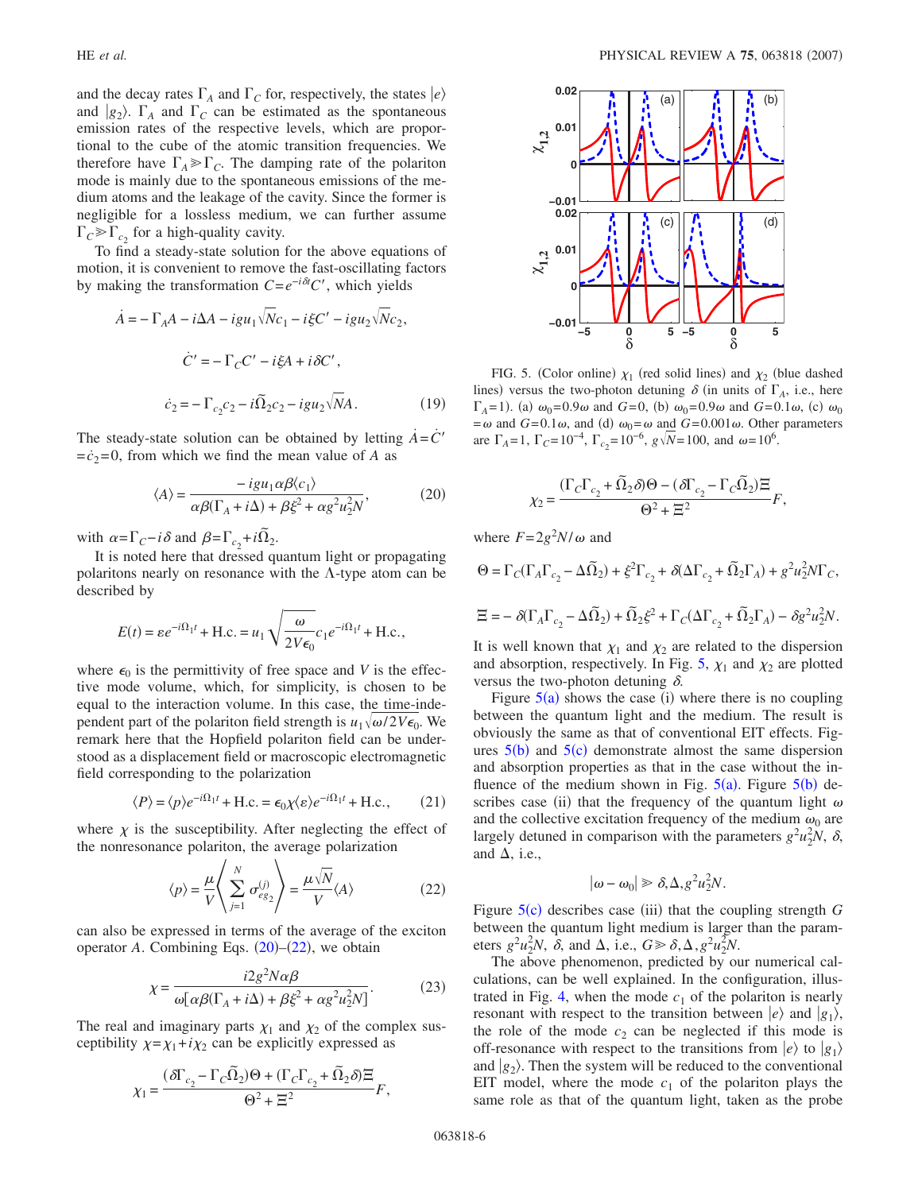and the decay rates  $\Gamma_A$  and  $\Gamma_C$  for, respectively, the states  $|e\rangle$ and  $|g_2\rangle$ .  $\Gamma_A$  and  $\Gamma_C$  can be estimated as the spontaneous emission rates of the respective levels, which are proportional to the cube of the atomic transition frequencies. We therefore have  $\Gamma_A \gg \Gamma_C$ . The damping rate of the polariton mode is mainly due to the spontaneous emissions of the medium atoms and the leakage of the cavity. Since the former is negligible for a lossless medium, we can further assume  $\Gamma_c \gg \Gamma_c$ , for a high-quality cavity.

To find a steady-state solution for the above equations of motion, it is convenient to remove the fast-oscillating factors by making the transformation  $C = e^{-i\delta t}C'$ , which yields

$$
\dot{A} = -\Gamma_A A - i\Delta A - igu_1 \sqrt{N}c_1 - i\xi C' - igu_2 \sqrt{N}c_2,
$$
  

$$
\dot{C}' = -\Gamma_C C' - i\xi A + i\delta C',
$$
  

$$
\dot{c}_2 = -\Gamma_{c_2}c_2 - i\tilde{\Omega}_2c_2 - igu_2 \sqrt{N}A.
$$
 (19)

<span id="page-5-0"></span>The steady-state solution can be obtained by letting  $\vec{A} = \vec{C}'$  $=\dot{c}_2=0$ , from which we find the mean value of *A* as

$$
\langle A \rangle = \frac{-igu_1\alpha\beta \langle c_1 \rangle}{\alpha\beta(\Gamma_A + i\Delta) + \beta\xi^2 + \alpha g^2 u_2^2 N},\tag{20}
$$

with  $\alpha = \Gamma_C - i\delta$  and  $\beta = \Gamma_{c_2} + i\tilde{\Omega}_2$ .

It is noted here that dressed quantum light or propagating polaritons nearly on resonance with the  $\Lambda$ -type atom can be described by

$$
E(t) = \varepsilon e^{-i\Omega_1 t} + \text{H.c.} = u_1 \sqrt{\frac{\omega}{2V\epsilon_0}} c_1 e^{-i\Omega_1 t} + \text{H.c.},
$$

where  $\epsilon_0$  is the permittivity of free space and *V* is the effective mode volume, which, for simplicity, is chosen to be equal to the interaction volume. In this case, the time-independent part of the polariton field strength is  $u_1 \sqrt{\omega/2V\epsilon_0}$ . We remark here that the Hopfield polariton field can be understood as a displacement field or macroscopic electromagnetic field corresponding to the polarization

$$
\langle P \rangle = \langle p \rangle e^{-i\Omega_1 t} + \text{H.c.} = \epsilon_0 \chi \langle \varepsilon \rangle e^{-i\Omega_1 t} + \text{H.c.}, \qquad (21)
$$

<span id="page-5-1"></span>where  $\chi$  is the susceptibility. After neglecting the effect of the nonresonance polariton, the average polarization

$$
\langle p \rangle = \frac{\mu}{V} \left\langle \sum_{j=1}^{N} \sigma_{eg_2}^{(j)} \right\rangle = \frac{\mu \sqrt{N}}{V} \langle A \rangle \tag{22}
$$

<span id="page-5-3"></span>can also be expressed in terms of the average of the exciton operator  $A$ . Combining Eqs.  $(20)$  $(20)$  $(20)$ – $(22)$  $(22)$  $(22)$ , we obtain

$$
\chi = \frac{i2g^2N\alpha\beta}{\omega[\alpha\beta(\Gamma_A + i\Delta) + \beta\xi^2 + \alpha g^2 u_2^2 N]}.
$$
 (23)

The real and imaginary parts  $\chi_1$  and  $\chi_2$  of the complex susceptibility  $\chi = \chi_1 + i\chi_2$  can be explicitly expressed as

$$
\chi_1 = \frac{(\delta \Gamma_{c_2} - \Gamma_C \tilde{\Omega}_2) \Theta + (\Gamma_C \Gamma_{c_2} + \tilde{\Omega}_2 \delta) \Xi}{\Theta^2 + \Xi^2} F,
$$

<span id="page-5-2"></span>

FIG. 5. (Color online)  $\chi_1$  (red solid lines) and  $\chi_2$  (blue dashed lines) versus the two-photon detuning  $\delta$  (in units of  $\Gamma_A$ , i.e., here  $\Gamma_A = 1$ . (a)  $\omega_0 = 0.9\omega$  and *G*=0, (b)  $\omega_0 = 0.9\omega$  and *G*=0.1 $\omega$ , (c)  $\omega_0$  $=\omega$  and *G*=0.1 $\omega$ , and (d)  $\omega_0 = \omega$  and *G*=0.001 $\omega$ . Other parameters are  $\Gamma_A = 1$ ,  $\Gamma_C = 10^{-4}$ ,  $\Gamma_{c_2} = 10^{-6}$ ,  $g\sqrt{N} = 100$ , and  $\omega = 10^6$ .

$$
\chi_2 = \frac{(\Gamma_C \Gamma_{c_2} + \tilde{\Omega}_2 \delta) \Theta - (\delta \Gamma_{c_2} - \Gamma_C \tilde{\Omega}_2) \Xi}{\Theta^2 + \Xi^2} F,
$$

where  $F = 2g^2 N/\omega$  and

$$
\begin{array}{l} \Theta=\Gamma_C(\Gamma_A\Gamma_{c_2}-\Delta\tilde{\Omega}_2)+\xi^2\Gamma_{c_2}+\delta(\Delta\Gamma_{c_2}+\tilde{\Omega}_2\Gamma_A)+g^2u_2^2N\Gamma_C,\\ \\ \Xi=-\delta(\Gamma_A\Gamma_{c_2}-\Delta\tilde{\Omega}_2)+\tilde{\Omega}_2\xi^2+\Gamma_C(\Delta\Gamma_{c_2}+\tilde{\Omega}_2\Gamma_A)-\delta g^2u_2^2N. \end{array}
$$

It is well known that  $\chi_1$  and  $\chi_2$  are related to the dispersion and absorption, respectively. In Fig. [5,](#page-5-2)  $\chi_1$  and  $\chi_2$  are plotted versus the two-photon detuning  $\delta$ .

Figure  $5(a)$  $5(a)$  shows the case (i) where there is no coupling between the quantum light and the medium. The result is obviously the same as that of conventional EIT effects. Figures  $5(b)$  $5(b)$  and  $5(c)$  demonstrate almost the same dispersion and absorption properties as that in the case without the influence of the medium shown in Fig.  $5(a)$  $5(a)$ . Figure  $5(b)$  describes case (ii) that the frequency of the quantum light  $\omega$ and the collective excitation frequency of the medium  $\omega_0$  are largely detuned in comparison with the parameters  $g^2u_2^2N$ ,  $\delta$ , and  $\Delta$ , i.e.,

$$
|\omega - \omega_0| \gg \delta, \Delta, g^2 u_2^2 N.
$$

Figure [5](#page-5-2)(c) describes case (iii) that the coupling strength *G* between the quantum light medium is larger than the parameters  $g^2 u_2^2 N$ ,  $\delta$ , and  $\Delta$ , i.e.,  $G \ge \delta$ ,  $\Delta$ ,  $g^2 u_2^2 N$ .

The above phenomenon, predicted by our numerical calculations, can be well explained. In the configuration, illus-trated in Fig. [4,](#page-4-2) when the mode  $c_1$  of the polariton is nearly resonant with respect to the transition between  $|e\rangle$  and  $|g_1\rangle$ , the role of the mode  $c_2$  can be neglected if this mode is off-resonance with respect to the transitions from  $|e\rangle$  to  $|g_1\rangle$ and  $|g_2\rangle$ . Then the system will be reduced to the conventional EIT model, where the mode  $c_1$  of the polariton plays the same role as that of the quantum light, taken as the probe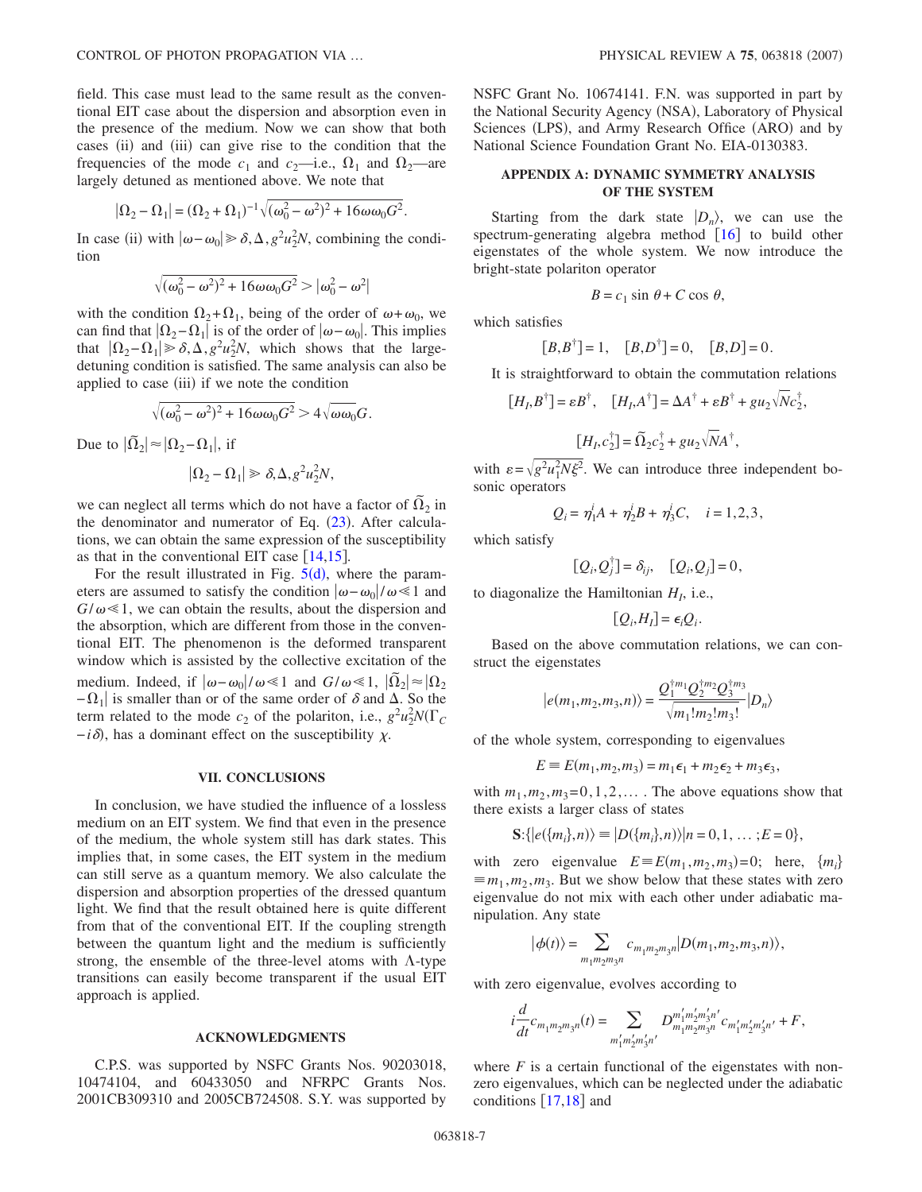field. This case must lead to the same result as the conventional EIT case about the dispersion and absorption even in the presence of the medium. Now we can show that both cases (ii) and (iii) can give rise to the condition that the frequencies of the mode  $c_1$  and  $c_2$ —i.e.,  $\Omega_1$  and  $\Omega_2$ —are largely detuned as mentioned above. We note that

$$
|\Omega_2 - \Omega_1| = (\Omega_2 + \Omega_1)^{-1} \sqrt{(\omega_0^2 - \omega^2)^2 + 16\omega\omega_0 G^2}.
$$

In case (ii) with  $|\omega - \omega_0| \ge \delta$ ,  $\Delta$ ,  $g^2 u_2^2 N$ , combining the condition

$$
\sqrt{(\omega_0^2-\omega^2)^2+16\omega\omega_0G^2}>|\omega_0^2-\omega^2|
$$

with the condition  $\Omega_2 + \Omega_1$ , being of the order of  $\omega + \omega_0$ , we can find that  $|\Omega_2-\Omega_1|$  is of the order of  $|\omega-\omega_0|$ . This implies that  $|\Omega_2 - \Omega_1| \ge \delta, \Delta, g^2 u_2^2 N$ , which shows that the largedetuning condition is satisfied. The same analysis can also be applied to case (iii) if we note the condition

$$
\sqrt{(\omega_0^2 - \omega^2)^2 + 16\omega\omega_0 G^2} > 4\sqrt{\omega\omega_0} G.
$$

Due to  $|\tilde{\Omega}_2| \approx |\Omega_2 - \Omega_1|$ , if

$$
|\Omega_2 - \Omega_1| \ge \delta, \Delta, g^2 u_2^2 N,
$$

we can neglect all terms which do not have a factor of  $\tilde{\Omega}_2$  in the denominator and numerator of Eq.  $(23)$  $(23)$  $(23)$ . After calculations, we can obtain the same expression of the susceptibility as that in the conventional EIT case  $[14,15]$  $[14,15]$  $[14,15]$  $[14,15]$ .

For the result illustrated in Fig.  $5(d)$  $5(d)$ , where the parameters are assumed to satisfy the condition  $|\omega-\omega_0|/\omega \le 1$  and  $G/\omega \ll 1$ , we can obtain the results, about the dispersion and the absorption, which are different from those in the conventional EIT. The phenomenon is the deformed transparent window which is assisted by the collective excitation of the medium. Indeed, if  $\vert \omega - \omega_0 \vert / \omega \ll 1$  and  $G/\omega \ll 1$ ,  $\vert \tilde{\Omega}_2 \vert \approx \vert \Omega_2 \vert$  $-\Omega_1$  is smaller than or of the same order of  $\delta$  and  $\Delta$ . So the term related to the mode  $c_2$  of the polariton, i.e.,  $g^2 u_2^2 N(\Gamma_c)$  $-i\delta$ ), has a dominant effect on the susceptibility  $\chi$ .

#### **VII. CONCLUSIONS**

In conclusion, we have studied the influence of a lossless medium on an EIT system. We find that even in the presence of the medium, the whole system still has dark states. This implies that, in some cases, the EIT system in the medium can still serve as a quantum memory. We also calculate the dispersion and absorption properties of the dressed quantum light. We find that the result obtained here is quite different from that of the conventional EIT. If the coupling strength between the quantum light and the medium is sufficiently strong, the ensemble of the three-level atoms with  $\Lambda$ -type transitions can easily become transparent if the usual EIT approach is applied.

#### **ACKNOWLEDGMENTS**

C.P.S. was supported by NSFC Grants Nos. 90203018, 10474104, and 60433050 and NFRPC Grants Nos. 2001CB309310 and 2005CB724508. S.Y. was supported by NSFC Grant No. 10674141. F.N. was supported in part by the National Security Agency (NSA), Laboratory of Physical Sciences (LPS), and Army Research Office (ARO) and by National Science Foundation Grant No. EIA-0130383.

## **APPENDIX A: DYNAMIC SYMMETRY ANALYSIS OF THE SYSTEM**

Starting from the dark state  $|D_n\rangle$ , we can use the spectrum-generating algebra method  $\begin{bmatrix} 16 \end{bmatrix}$  $\begin{bmatrix} 16 \end{bmatrix}$  $\begin{bmatrix} 16 \end{bmatrix}$  to build other eigenstates of the whole system. We now introduce the bright-state polariton operator

$$
B = c_1 \sin \theta + C \cos \theta,
$$

which satisfies

$$
[B, B^{\dagger}] = 1
$$
,  $[B, D^{\dagger}] = 0$ ,  $[B, D] = 0$ .

It is straightforward to obtain the commutation relations

$$
[H_I, B^{\dagger}] = \varepsilon B^{\dagger}, \quad [H_I, A^{\dagger}] = \Delta A^{\dagger} + \varepsilon B^{\dagger} + g u_2 \sqrt{N} c_2^{\dagger},
$$

$$
[H_I, c_2^{\dagger}] = \widetilde{\Omega}_2 c_2^{\dagger} + g u_2 \sqrt{N} A^{\dagger},
$$

with  $\varepsilon = \sqrt{g^2 u_1^2 N \xi^2}$ . We can introduce three independent bosonic operators

$$
Q_i = \eta_1^i A + \eta_2^i B + \eta_3^i C, \quad i = 1, 2, 3,
$$

which satisfy

$$
[Q_i, Q_j^{\dagger}] = \delta_{ij}, \quad [Q_i, Q_j] = 0,
$$

to diagonalize the Hamiltonian  $H_I$ , i.e.,

$$
[Q_i, H_I] = \epsilon_i Q_i.
$$

Based on the above commutation relations, we can construct the eigenstates

$$
|e(m_1, m_2, m_3, n)\rangle = \frac{Q_1^{\dagger m_1} Q_2^{\dagger m_2} Q_3^{\dagger m_3}}{\sqrt{m_1! m_2! m_3!}} |D_n\rangle
$$

of the whole system, corresponding to eigenvalues

$$
E \equiv E(m_1, m_2, m_3) = m_1 \epsilon_1 + m_2 \epsilon_2 + m_3 \epsilon_3,
$$

with  $m_1, m_2, m_3 = 0, 1, 2, \ldots$ . The above equations show that there exists a larger class of states

$$
\mathbf{S}:\{|e(\{m_i\},n)\rangle\equiv|D(\{m_i\},n)\rangle|n=0,1,\ldots;E=0\},\
$$

with zero eigenvalue  $E = E(m_1, m_2, m_3) = 0$ ; here,  $\{m_i\}$  $\equiv m_1, m_2, m_3$ . But we show below that these states with zero eigenvalue do not mix with each other under adiabatic manipulation. Any state

$$
|\phi(t)\rangle = \sum_{m_1m_2m_3n} c_{m_1m_2m_3n} |D(m_1, m_2, m_3, n)\rangle,
$$

with zero eigenvalue, evolves according to

$$
i\frac{d}{dt}c_{m_1m_2m_3n}(t)=\sum_{m_1'm_2'm_3'n'}D_{m_1m_2m_3n}^{m_1'm_2'm_3'n'}c_{m_1'm_2'm_3'n'}+F,
$$

where  $F$  is a certain functional of the eigenstates with nonzero eigenvalues, which can be neglected under the adiabatic conditions  $\lceil 17,18 \rceil$  $\lceil 17,18 \rceil$  $\lceil 17,18 \rceil$  $\lceil 17,18 \rceil$  and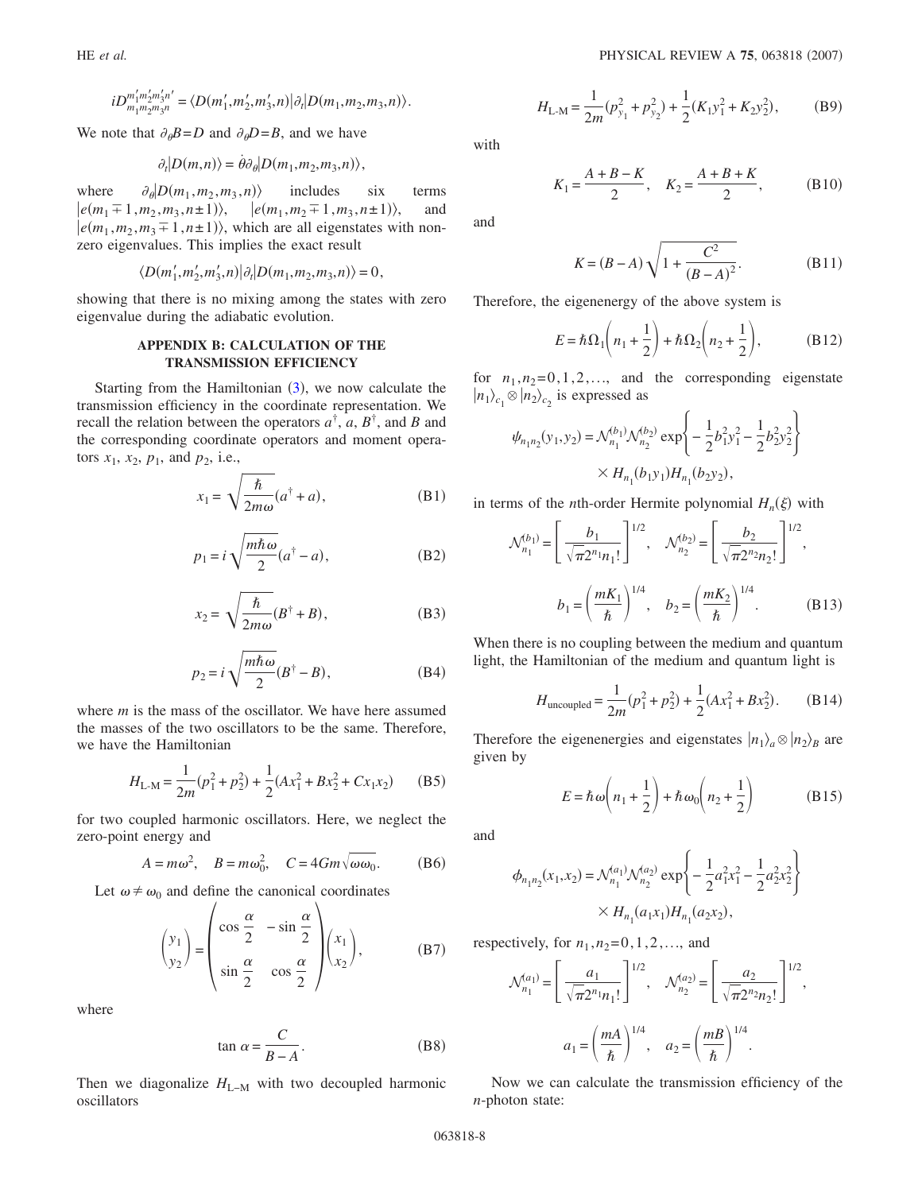$$
iD_{m_1m_2m_3n}^{m'_1m'_2m'_3n'} = \langle D(m'_1,m'_2,m'_3,n) | \partial_t | D(m_1,m_2,m_3,n) \rangle.
$$

We note that  $\partial_{\theta}B = D$  and  $\partial_{\theta}D = B$ , and we have

$$
\partial_t |D(m,n)\rangle = \dot{\theta}\partial_\theta |D(m_1,m_2,m_3,n)\rangle,
$$

where  $\partial_{\theta}$  $D(m_1, m_2, m_3, n)$  includes six terms  $|e(m_1\overline{=}1,m_2,m_3,n\pm 1)\rangle$ ,  $\ket{e(m_1, m_2 \mp 1, m_3, n \pm 1)},$ and  $|e(m_1, m_2, m_3 \pm 1, n \pm 1)\rangle$ , which are all eigenstates with nonzero eigenvalues. This implies the exact result

$$
\langle D(m'_1,m'_2,m'_3,n)|\partial_t|D(m_1,m_2,m_3,n)\rangle=0,
$$

showing that there is no mixing among the states with zero eigenvalue during the adiabatic evolution.

### **APPENDIX B: CALCULATION OF THE TRANSMISSION EFFICIENCY**

Starting from the Hamiltonian  $(3)$  $(3)$  $(3)$ , we now calculate the transmission efficiency in the coordinate representation. We recall the relation between the operators  $a^{\dagger}$ ,  $a$ ,  $B^{\dagger}$ , and *B* and the corresponding coordinate operators and moment operators  $x_1$ ,  $x_2$ ,  $p_1$ , and  $p_2$ , i.e.,

$$
x_1 = \sqrt{\frac{\hbar}{2m\omega}}(a^{\dagger} + a),
$$
 (B1)

$$
p_1 = i\sqrt{\frac{m\hbar\omega}{2}}(a^{\dagger} - a),
$$
 (B2)

$$
x_2 = \sqrt{\frac{\hbar}{2m\omega}}(B^{\dagger} + B),
$$
 (B3)

$$
p_2 = i \sqrt{\frac{m\hbar\omega}{2}} (B^{\dagger} - B),
$$
 (B4)

where *m* is the mass of the oscillator. We have here assumed the masses of the two oscillators to be the same. Therefore, we have the Hamiltonian

$$
H_{\text{L-M}} = \frac{1}{2m}(p_1^2 + p_2^2) + \frac{1}{2}(Ax_1^2 + Bx_2^2 + Cx_1x_2)
$$
 (B5)

for two coupled harmonic oscillators. Here, we neglect the zero-point energy and

$$
A = m\omega^2, \quad B = m\omega_0^2, \quad C = 4Gm\sqrt{\omega\omega_0}.
$$
 (B6)

Let  $\omega \neq \omega_0$  and define the canonical coordinates

$$
\begin{pmatrix} y_1 \\ y_2 \end{pmatrix} = \begin{pmatrix} \cos\frac{\alpha}{2} & -\sin\frac{\alpha}{2} \\ \sin\frac{\alpha}{2} & \cos\frac{\alpha}{2} \end{pmatrix} \begin{pmatrix} x_1 \\ x_2 \end{pmatrix}, \quad (B7)
$$

where

$$
\tan \alpha = \frac{C}{B - A}.\tag{B8}
$$

Then we diagonalize  $H_{L-M}$  with two decoupled harmonic oscillators

$$
H_{\text{L-M}} = \frac{1}{2m} (p_{y_1}^2 + p_{y_2}^2) + \frac{1}{2} (K_1 y_1^2 + K_2 y_2^2),
$$
 (B9)

with

$$
K_1 = \frac{A+B-K}{2}
$$
,  $K_2 = \frac{A+B+K}{2}$ , (B10)

and

$$
K = (B - A) \sqrt{1 + \frac{C^2}{(B - A)^2}}.
$$
 (B11)

Therefore, the eigenenergy of the above system is

$$
E = \hbar \Omega_1 \left( n_1 + \frac{1}{2} \right) + \hbar \Omega_2 \left( n_2 + \frac{1}{2} \right), \tag{B12}
$$

for  $n_1, n_2 = 0, 1, 2, \ldots$ , and the corresponding eigenstate  $|n_1\rangle_{c_1} \otimes |n_2\rangle_{c_2}$  is expressed as

$$
\psi_{n_1 n_2}(y_1, y_2) = \mathcal{N}_{n_1}^{(b_1)} \mathcal{N}_{n_2}^{(b_2)} \exp\left\{-\frac{1}{2}b_1^2 y_1^2 - \frac{1}{2}b_2^2 y_2^2\right\}
$$

$$
\times H_{n_1}(b_1 y_1) H_{n_1}(b_2 y_2),
$$

in terms of the *n*th-order Hermite polynomial  $H_n(\xi)$  with

$$
\mathcal{N}_{n_1}^{(b_1)} = \left[ \frac{b_1}{\sqrt{\pi} 2^{n_1} n_1!} \right]^{1/2}, \quad \mathcal{N}_{n_2}^{(b_2)} = \left[ \frac{b_2}{\sqrt{\pi} 2^{n_2} n_2!} \right]^{1/2},
$$

$$
b_1 = \left( \frac{mK_1}{\hbar} \right)^{1/4}, \quad b_2 = \left( \frac{mK_2}{\hbar} \right)^{1/4}.
$$
(B13)

When there is no coupling between the medium and quantum light, the Hamiltonian of the medium and quantum light is

$$
H_{\text{uncoupled}} = \frac{1}{2m}(p_1^2 + p_2^2) + \frac{1}{2}(Ax_1^2 + Bx_2^2). \tag{B14}
$$

Therefore the eigenenergies and eigenstates  $|n_1\rangle_a \otimes |n_2\rangle_B$  are given by

> $E = \hbar \omega \left( n_1 + \frac{1}{2} \right)$  $\left(\frac{1}{2}\right) + \hbar \omega_0 \left(n_2 + \frac{1}{2}\right)$ 2  $\Big)$  (B15)

and

$$
\phi_{n_1 n_2}(x_1, x_2) = \mathcal{N}_{n_1}^{(a_1)} \mathcal{N}_{n_2}^{(a_2)} \exp\left\{-\frac{1}{2}a_1^2 x_1^2 - \frac{1}{2}a_2^2 x_2^2\right\}
$$

$$
\times H_{n_1}(a_1 x_1) H_{n_1}(a_2 x_2),
$$

respectively, for  $n_1$ ,  $n_2$ =0, 1, 2,..., and

$$
\mathcal{N}_{n_1}^{(a_1)} = \left[ \frac{a_1}{\sqrt{\pi} 2^{n_1} n_1!} \right]^{1/2}, \quad \mathcal{N}_{n_2}^{(a_2)} = \left[ \frac{a_2}{\sqrt{\pi} 2^{n_2} n_2!} \right]^{1/2},
$$

$$
a_1 = \left( \frac{mA}{\hbar} \right)^{1/4}, \quad a_2 = \left( \frac{mB}{\hbar} \right)^{1/4}.
$$

Now we can calculate the transmission efficiency of the *n*-photon state: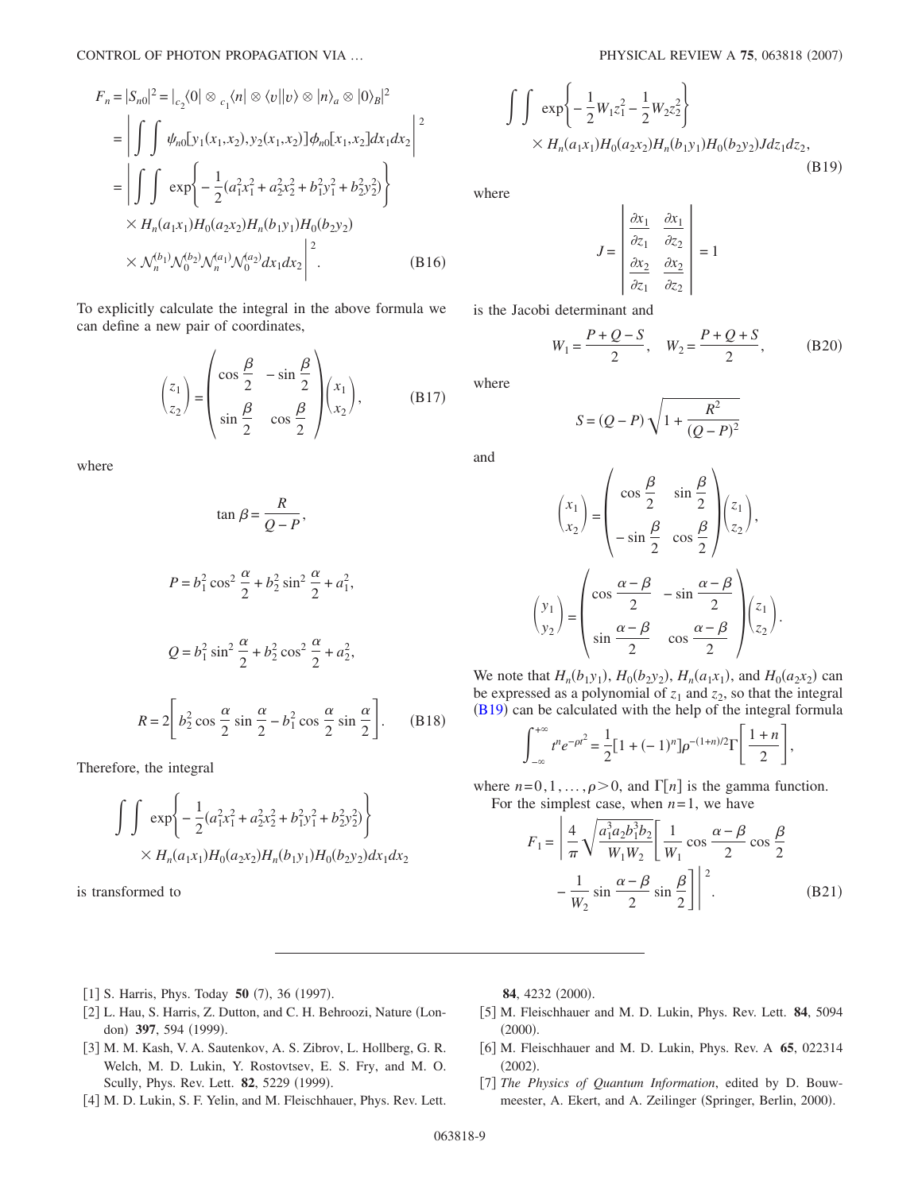$$
F_n = |S_{n0}|^2 = |_{c_2} \langle 0| \otimes {}_{c_1} \langle n| \otimes \langle v| |v \rangle \otimes |n \rangle_a \otimes |0 \rangle_B|^2
$$
  
\n
$$
= \left| \int \int \psi_{n0} [y_1(x_1, x_2), y_2(x_1, x_2)] \phi_{n0} [x_1, x_2] dx_1 dx_2 \right|^2
$$
  
\n
$$
= \left| \int \int \exp \left\{ -\frac{1}{2} (a_1^2 x_1^2 + a_2^2 x_2^2 + b_1^2 y_1^2 + b_2^2 y_2^2) \right\} \right\}
$$
  
\n
$$
\times H_n(a_1 x_1) H_0(a_2 x_2) H_n(b_1 y_1) H_0(b_2 y_2)
$$
  
\n
$$
\times N_n^{(b_1)} N_0^{(b_2)} N_n^{(a_1)} N_0^{(a_2)} dx_1 dx_2 \right|^2.
$$
 (B16)

To explicitly calculate the integral in the above formula we can define a new pair of coordinates,

$$
\begin{pmatrix} z_1 \\ z_2 \end{pmatrix} = \begin{pmatrix} \cos\frac{\beta}{2} & -\sin\frac{\beta}{2} \\ \sin\frac{\beta}{2} & \cos\frac{\beta}{2} \end{pmatrix} \begin{pmatrix} x_1 \\ x_2 \end{pmatrix}, \quad (B17)
$$

where

$$
\tan \beta = \frac{R}{Q - P},
$$
  
\n
$$
P = b_1^2 \cos^2 \frac{\alpha}{2} + b_2^2 \sin^2 \frac{\alpha}{2} + a_1^2,
$$
  
\n
$$
Q = b_1^2 \sin^2 \frac{\alpha}{2} + b_2^2 \cos^2 \frac{\alpha}{2} + a_2^2,
$$
  
\n
$$
R = 2 \left[ b_2^2 \cos \frac{\alpha}{2} \sin \frac{\alpha}{2} - b_1^2 \cos \frac{\alpha}{2} \sin \frac{\alpha}{2} \right].
$$
 (B18)

Therefore, the integral

$$
\int \int \exp\left\{-\frac{1}{2}(a_1^2x_1^2 + a_2^2x_2^2 + b_1^2y_1^2 + b_2^2y_2^2)\right\}
$$
  
 
$$
\times H_n(a_1x_1)H_0(a_2x_2)H_n(b_1y_1)H_0(b_2y_2)dx_1dx_2
$$

is transformed to

<span id="page-8-6"></span>
$$
\int \int \exp\left\{-\frac{1}{2}W_1 z_1^2 - \frac{1}{2}W_2 z_2^2\right\} \times H_n(a_1 x_1) H_0(a_2 x_2) H_n(b_1 y_1) H_0(b_2 y_2) J dz_1 dz_2,
$$
\n(B19)

 $\mathbf{r}$ 

where

$$
J = \begin{vmatrix} \frac{\partial x_1}{\partial z_1} & \frac{\partial x_1}{\partial z_2} \\ \frac{\partial x_2}{\partial z_1} & \frac{\partial x_2}{\partial z_2} \end{vmatrix} = 1
$$

 $\mathbf{r}$ 

is the Jacobi determinant and

$$
W_1 = \frac{P + Q - S}{2}
$$
,  $W_2 = \frac{P + Q + S}{2}$ , (B20)

where

$$
S = (Q - P) \sqrt{1 + \frac{R^2}{(Q - P)^2}}
$$

and

$$
\begin{pmatrix} x_1 \\ x_2 \end{pmatrix} = \begin{pmatrix} \cos \frac{\beta}{2} & \sin \frac{\beta}{2} \\ -\sin \frac{\beta}{2} & \cos \frac{\beta}{2} \end{pmatrix} \begin{pmatrix} z_1 \\ z_2 \end{pmatrix},
$$

$$
\begin{pmatrix} y_1 \\ y_2 \end{pmatrix} = \begin{pmatrix} \cos \frac{\alpha - \beta}{2} & -\sin \frac{\alpha - \beta}{2} \\ \sin \frac{\alpha - \beta}{2} & \cos \frac{\alpha - \beta}{2} \end{pmatrix} \begin{pmatrix} z_1 \\ z_2 \end{pmatrix}.
$$

We note that  $H_n(b_1y_1)$ ,  $H_0(b_2y_2)$ ,  $H_n(a_1x_1)$ , and  $H_0(a_2x_2)$  can be expressed as a polynomial of  $z_1$  and  $z_2$ , so that the integral ([B19](#page-8-6)) can be calculated with the help of the integral formula

$$
\int_{-\infty}^{+\infty} t^n e^{-\rho t^2} = \frac{1}{2} [1 + (-1)^n] \rho^{-(1+n)/2} \Gamma\left[\frac{1+n}{2}\right],
$$

where  $n=0,1,\ldots,\rho>0$ , and  $\Gamma[n]$  is the gamma function. For the simplest case, when  $n=1$ , we have

$$
F_1 = \left| \frac{4}{\pi} \sqrt{\frac{a_1^3 a_2 b_1^3 b_2}{W_1 W_2}} \right| \frac{1}{W_1} \cos \frac{\alpha - \beta}{2} \cos \frac{\beta}{2}
$$

$$
- \frac{1}{W_2} \sin \frac{\alpha - \beta}{2} \sin \frac{\beta}{2} \right|^2.
$$
(B21)

- <span id="page-8-0"></span>[1] S. Harris, Phys. Today 50 (7), 36 (1997).
- <span id="page-8-1"></span>[2] L. Hau, S. Harris, Z. Dutton, and C. H. Behroozi, Nature (London) 397, 594 (1999).
- <span id="page-8-2"></span>3 M. M. Kash, V. A. Sautenkov, A. S. Zibrov, L. Hollberg, G. R. Welch, M. D. Lukin, Y. Rostovtsev, E. S. Fry, and M. O. Scully, Phys. Rev. Lett. **82**, 5229 (1999).
- <span id="page-8-3"></span>[4] M. D. Lukin, S. F. Yelin, and M. Fleischhauer, Phys. Rev. Lett.

84, 4232 (2000).

- 5 M. Fleischhauer and M. D. Lukin, Phys. Rev. Lett. **84**, 5094  $(2000).$
- <span id="page-8-4"></span>6 M. Fleischhauer and M. D. Lukin, Phys. Rev. A **65**, 022314  $(2002).$
- <span id="page-8-5"></span>7 *The Physics of Quantum Information*, edited by D. Bouwmeester, A. Ekert, and A. Zeilinger (Springer, Berlin, 2000).